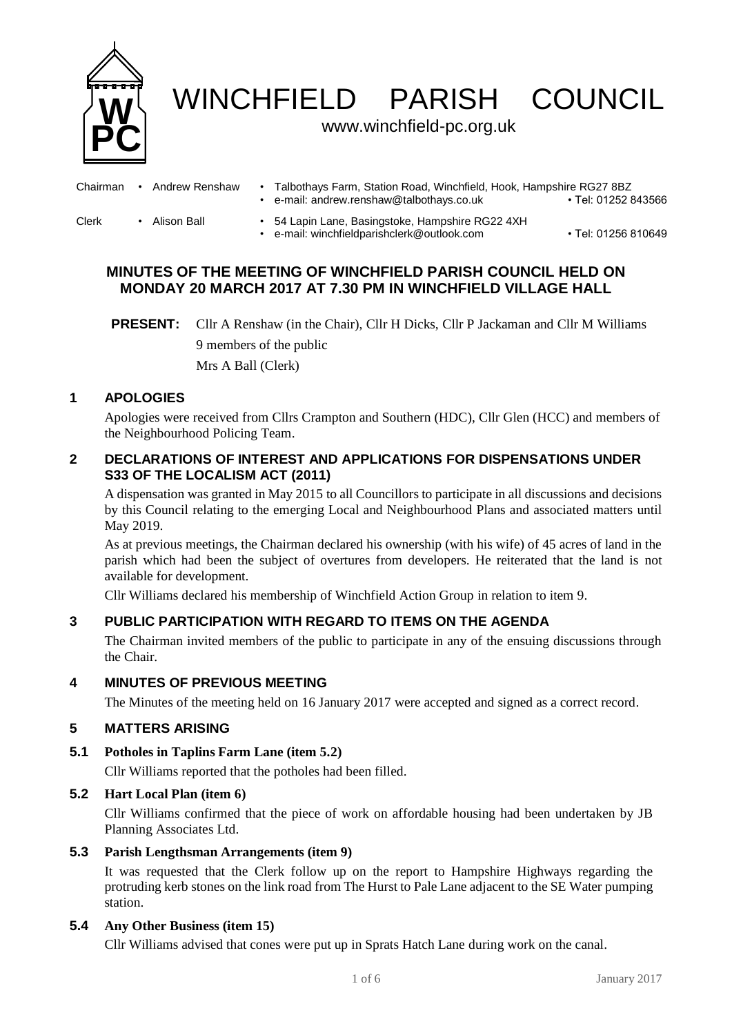

WINCHFIELD PARISH COUNCIL

## www.winchfield-pc.org.uk

| Chairman | Andrew Renshaw | Talbothays Farm, Station Road, Winchfield, Hook, Hampshire RG27 8BZ<br>e-mail: andrew.renshaw@talbothays.co.uk | • Tel: 01252 843566 |
|----------|----------------|----------------------------------------------------------------------------------------------------------------|---------------------|
| Clerk    | Alison Ball    | 54 Lapin Lane, Basingstoke, Hampshire RG22 4XH<br>e-mail: winchfieldparishclerk@outlook.com                    | • Tel: 01256 810649 |

# **MINUTES OF THE MEETING OF WINCHFIELD PARISH COUNCIL HELD ON MONDAY 20 MARCH 2017 AT 7.30 PM IN WINCHFIELD VILLAGE HALL**

## **1 APOLOGIES**

Apologies were received from Cllrs Crampton and Southern (HDC), Cllr Glen (HCC) and members of the Neighbourhood Policing Team.

## **2 DECLARATIONS OF INTEREST AND APPLICATIONS FOR DISPENSATIONS UNDER S33 OF THE LOCALISM ACT (2011)**

A dispensation was granted in May 2015 to all Councillors to participate in all discussions and decisions by this Council relating to the emerging Local and Neighbourhood Plans and associated matters until May 2019.

As at previous meetings, the Chairman declared his ownership (with his wife) of 45 acres of land in the parish which had been the subject of overtures from developers. He reiterated that the land is not available for development.

Cllr Williams declared his membership of Winchfield Action Group in relation to item 9.

## **3 PUBLIC PARTICIPATION WITH REGARD TO ITEMS ON THE AGENDA**

The Chairman invited members of the public to participate in any of the ensuing discussions through the Chair.

## **4 MINUTES OF PREVIOUS MEETING**

The Minutes of the meeting held on 16 January 2017 were accepted and signed as a correct record.

## **5 MATTERS ARISING**

### **5.1 Potholes in Taplins Farm Lane (item 5.2)**

Cllr Williams reported that the potholes had been filled.

## **5.2 Hart Local Plan (item 6)**

Cllr Williams confirmed that the piece of work on affordable housing had been undertaken by JB Planning Associates Ltd.

### **5.3 Parish Lengthsman Arrangements (item 9)**

It was requested that the Clerk follow up on the report to Hampshire Highways regarding the protruding kerb stones on the link road from The Hurst to Pale Lane adjacent to the SE Water pumping station.

## **5.4 Any Other Business (item 15)**

Cllr Williams advised that cones were put up in Sprats Hatch Lane during work on the canal.

**PRESENT:** Cllr A Renshaw (in the Chair), Cllr H Dicks, Cllr P Jackaman and Cllr M Williams 9 members of the public Mrs A Ball (Clerk)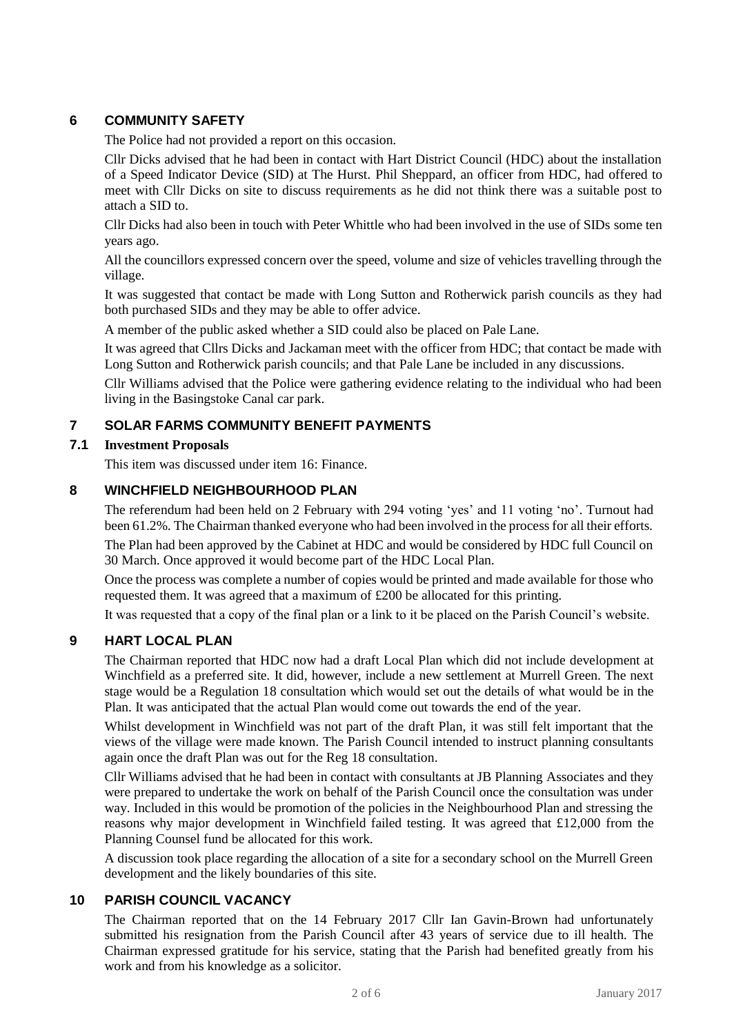## **6 COMMUNITY SAFETY**

The Police had not provided a report on this occasion.

Cllr Dicks advised that he had been in contact with Hart District Council (HDC) about the installation of a Speed Indicator Device (SID) at The Hurst. Phil Sheppard, an officer from HDC, had offered to meet with Cllr Dicks on site to discuss requirements as he did not think there was a suitable post to attach a SID to.

Cllr Dicks had also been in touch with Peter Whittle who had been involved in the use of SIDs some ten years ago.

All the councillors expressed concern over the speed, volume and size of vehicles travelling through the village.

It was suggested that contact be made with Long Sutton and Rotherwick parish councils as they had both purchased SIDs and they may be able to offer advice.

A member of the public asked whether a SID could also be placed on Pale Lane.

It was agreed that Cllrs Dicks and Jackaman meet with the officer from HDC; that contact be made with Long Sutton and Rotherwick parish councils; and that Pale Lane be included in any discussions.

Cllr Williams advised that the Police were gathering evidence relating to the individual who had been living in the Basingstoke Canal car park.

## **7 SOLAR FARMS COMMUNITY BENEFIT PAYMENTS**

### **7.1 Investment Proposals**

This item was discussed under item 16: Finance.

## **8 WINCHFIELD NEIGHBOURHOOD PLAN**

The referendum had been held on 2 February with 294 voting 'yes' and 11 voting 'no'. Turnout had been 61.2%. The Chairman thanked everyone who had been involved in the process for all their efforts.

The Plan had been approved by the Cabinet at HDC and would be considered by HDC full Council on 30 March. Once approved it would become part of the HDC Local Plan.

Once the process was complete a number of copies would be printed and made available for those who requested them. It was agreed that a maximum of £200 be allocated for this printing.

It was requested that a copy of the final plan or a link to it be placed on the Parish Council's website.

## **9 HART LOCAL PLAN**

The Chairman reported that HDC now had a draft Local Plan which did not include development at Winchfield as a preferred site. It did, however, include a new settlement at Murrell Green. The next stage would be a Regulation 18 consultation which would set out the details of what would be in the Plan. It was anticipated that the actual Plan would come out towards the end of the year.

Whilst development in Winchfield was not part of the draft Plan, it was still felt important that the views of the village were made known. The Parish Council intended to instruct planning consultants again once the draft Plan was out for the Reg 18 consultation.

Cllr Williams advised that he had been in contact with consultants at JB Planning Associates and they were prepared to undertake the work on behalf of the Parish Council once the consultation was under way. Included in this would be promotion of the policies in the Neighbourhood Plan and stressing the reasons why major development in Winchfield failed testing. It was agreed that £12,000 from the Planning Counsel fund be allocated for this work.

A discussion took place regarding the allocation of a site for a secondary school on the Murrell Green development and the likely boundaries of this site.

## **10 PARISH COUNCIL VACANCY**

The Chairman reported that on the 14 February 2017 Cllr Ian Gavin-Brown had unfortunately submitted his resignation from the Parish Council after 43 years of service due to ill health. The Chairman expressed gratitude for his service, stating that the Parish had benefited greatly from his work and from his knowledge as a solicitor.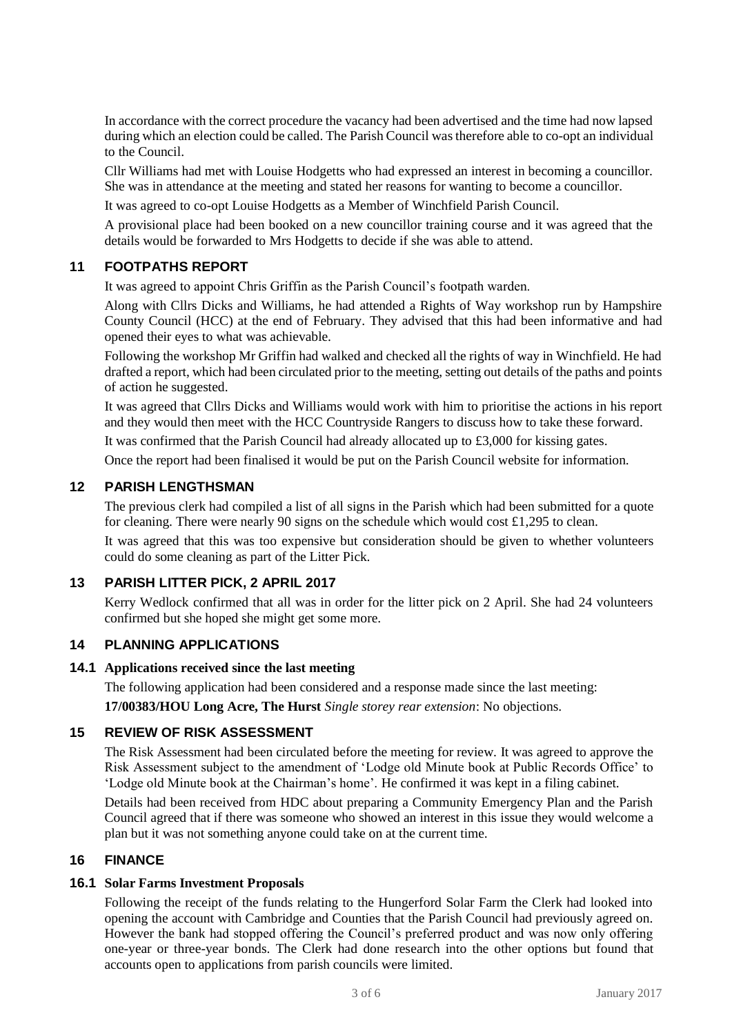In accordance with the correct procedure the vacancy had been advertised and the time had now lapsed during which an election could be called. The Parish Council was therefore able to co-opt an individual to the Council.

Cllr Williams had met with Louise Hodgetts who had expressed an interest in becoming a councillor. She was in attendance at the meeting and stated her reasons for wanting to become a councillor.

It was agreed to co-opt Louise Hodgetts as a Member of Winchfield Parish Council.

A provisional place had been booked on a new councillor training course and it was agreed that the details would be forwarded to Mrs Hodgetts to decide if she was able to attend.

# **11 FOOTPATHS REPORT**

It was agreed to appoint Chris Griffin as the Parish Council's footpath warden.

Along with Cllrs Dicks and Williams, he had attended a Rights of Way workshop run by Hampshire County Council (HCC) at the end of February. They advised that this had been informative and had opened their eyes to what was achievable.

Following the workshop Mr Griffin had walked and checked all the rights of way in Winchfield. He had drafted a report, which had been circulated prior to the meeting, setting out details of the paths and points of action he suggested.

It was agreed that Cllrs Dicks and Williams would work with him to prioritise the actions in his report and they would then meet with the HCC Countryside Rangers to discuss how to take these forward.

It was confirmed that the Parish Council had already allocated up to £3,000 for kissing gates.

Once the report had been finalised it would be put on the Parish Council website for information.

### **12 PARISH LENGTHSMAN**

The previous clerk had compiled a list of all signs in the Parish which had been submitted for a quote for cleaning. There were nearly 90 signs on the schedule which would cost £1,295 to clean.

It was agreed that this was too expensive but consideration should be given to whether volunteers could do some cleaning as part of the Litter Pick.

### **13 PARISH LITTER PICK, 2 APRIL 2017**

Kerry Wedlock confirmed that all was in order for the litter pick on 2 April. She had 24 volunteers confirmed but she hoped she might get some more.

## **14 PLANNING APPLICATIONS**

#### **14.1 Applications received since the last meeting**

The following application had been considered and a response made since the last meeting:

**17/00383/HOU Long Acre, The Hurst** *Single storey rear extension*: No objections.

## **15 REVIEW OF RISK ASSESSMENT**

The Risk Assessment had been circulated before the meeting for review. It was agreed to approve the Risk Assessment subject to the amendment of 'Lodge old Minute book at Public Records Office' to 'Lodge old Minute book at the Chairman's home'. He confirmed it was kept in a filing cabinet.

Details had been received from HDC about preparing a Community Emergency Plan and the Parish Council agreed that if there was someone who showed an interest in this issue they would welcome a plan but it was not something anyone could take on at the current time.

### **16 FINANCE**

#### **16.1 Solar Farms Investment Proposals**

Following the receipt of the funds relating to the Hungerford Solar Farm the Clerk had looked into opening the account with Cambridge and Counties that the Parish Council had previously agreed on. However the bank had stopped offering the Council's preferred product and was now only offering one-year or three-year bonds. The Clerk had done research into the other options but found that accounts open to applications from parish councils were limited.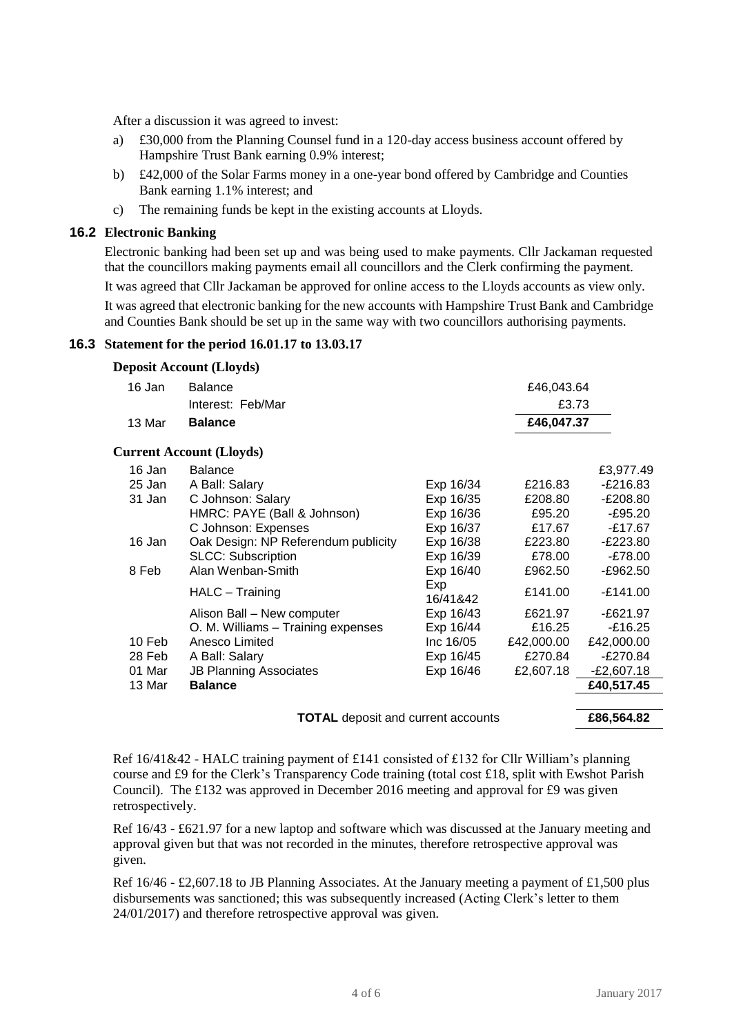After a discussion it was agreed to invest:

- a) £30,000 from the Planning Counsel fund in a 120-day access business account offered by Hampshire Trust Bank earning 0.9% interest;
- b) £42,000 of the Solar Farms money in a one-year bond offered by Cambridge and Counties Bank earning 1.1% interest; and
- c) The remaining funds be kept in the existing accounts at Lloyds.

### **16.2 Electronic Banking**

Electronic banking had been set up and was being used to make payments. Cllr Jackaman requested that the councillors making payments email all councillors and the Clerk confirming the payment.

It was agreed that Cllr Jackaman be approved for online access to the Lloyds accounts as view only.

It was agreed that electronic banking for the new accounts with Hampshire Trust Bank and Cambridge and Counties Bank should be set up in the same way with two councillors authorising payments.

### **16.3 Statement for the period 16.01.17 to 13.03.17**

**Deposit Account (Lloyds)**

| 16 Jan | <b>Balance</b>                            |                 | £46,043.64 |              |
|--------|-------------------------------------------|-----------------|------------|--------------|
|        | Interest: Feb/Mar                         |                 | £3.73      |              |
| 13 Mar | <b>Balance</b>                            |                 | £46,047.37 |              |
|        | <b>Current Account (Lloyds)</b>           |                 |            |              |
| 16 Jan | <b>Balance</b>                            |                 |            | £3,977.49    |
| 25 Jan | A Ball: Salary                            | Exp 16/34       | £216.83    | $-E216.83$   |
| 31 Jan | C Johnson: Salary                         | Exp 16/35       | £208.80    | -£208.80     |
|        | HMRC: PAYE (Ball & Johnson)               | Exp 16/36       | £95.20     | $-£95.20$    |
|        | C Johnson: Expenses                       | Exp 16/37       | £17.67     | $-£17.67$    |
| 16 Jan | Oak Design: NP Referendum publicity       | Exp 16/38       | £223.80    | -£223.80     |
|        | <b>SLCC: Subscription</b>                 | Exp 16/39       | £78.00     | $-£78.00$    |
| 8 Feb  | Alan Wenban-Smith                         | Exp 16/40       | £962.50    | -£962.50     |
|        | HALC - Training                           | Exp<br>16/41&42 | £141.00    | $-£141.00$   |
|        | Alison Ball - New computer                | Exp 16/43       | £621.97    | $-E621.97$   |
|        | O. M. Williams - Training expenses        | Exp 16/44       | £16.25     | $-£16.25$    |
| 10 Feb | Anesco Limited                            | Inc 16/05       | £42,000.00 | £42,000.00   |
| 28 Feb | A Ball: Salary                            | Exp 16/45       | £270.84    | -£270.84     |
| 01 Mar | <b>JB Planning Associates</b>             | Exp 16/46       | £2,607.18  | $-E2,607.18$ |
| 13 Mar | <b>Balance</b>                            |                 |            | £40,517.45   |
|        | <b>TOTAL</b> deposit and current accounts |                 |            | £86,564.82   |

Ref  $16/41&42$  - HALC training payment of £141 consisted of £132 for Cllr William's planning course and £9 for the Clerk's Transparency Code training (total cost £18, split with Ewshot Parish Council). The £132 was approved in December 2016 meeting and approval for £9 was given retrospectively.

Ref 16/43 - £621.97 for a new laptop and software which was discussed at the January meeting and approval given but that was not recorded in the minutes, therefore retrospective approval was given.

Ref  $16/46 - \text{\pounds}2,607.18$  to JB Planning Associates. At the January meeting a payment of £1,500 plus disbursements was sanctioned; this was subsequently increased (Acting Clerk's letter to them 24/01/2017) and therefore retrospective approval was given.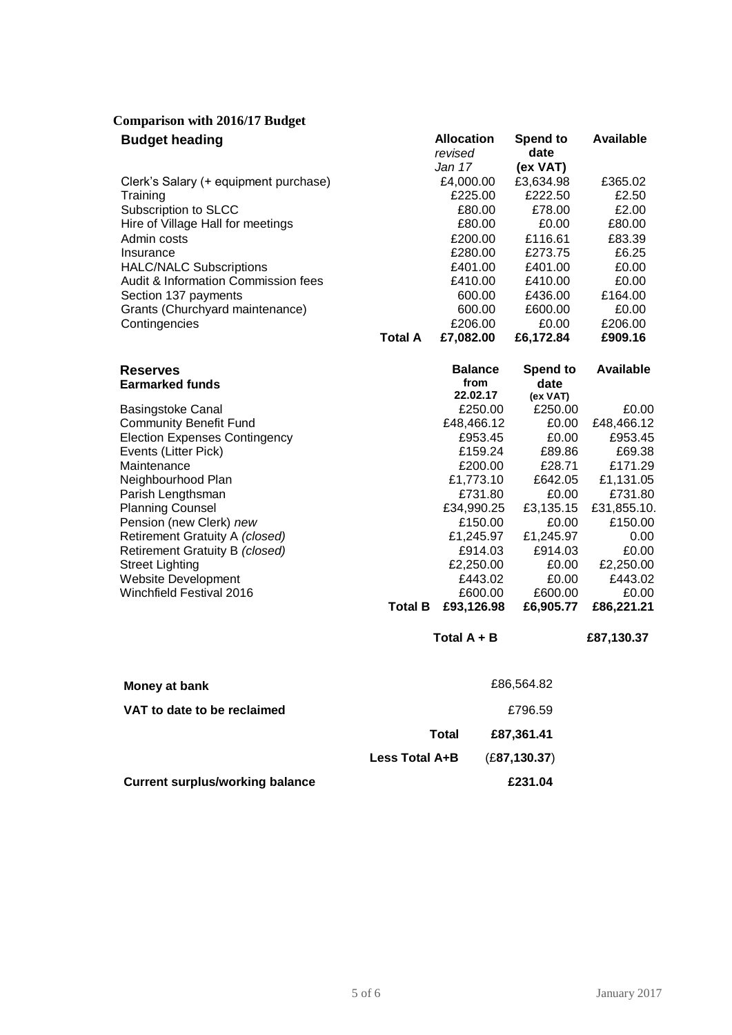| <b>Comparison with 2016/17 Budget</b> |  |  |  |
|---------------------------------------|--|--|--|
|---------------------------------------|--|--|--|

| <b>Budget heading</b>                 |                | <b>Allocation</b><br>revised | Spend to<br>date | Available |
|---------------------------------------|----------------|------------------------------|------------------|-----------|
|                                       |                | Jan 17                       | (ex VAT)         |           |
| Clerk's Salary (+ equipment purchase) |                | £4,000.00                    | £3,634.98        | £365.02   |
| Training                              |                | £225.00                      | £222.50          | £2.50     |
| Subscription to SLCC                  |                | £80.00                       | £78.00           | £2.00     |
| Hire of Village Hall for meetings     |                | £80.00                       | £0.00            | £80.00    |
| Admin costs                           |                | £200.00                      | £116.61          | £83.39    |
| Insurance                             |                | £280.00                      | £273.75          | £6.25     |
| <b>HALC/NALC Subscriptions</b>        |                | £401.00                      | £401.00          | £0.00     |
| Audit & Information Commission fees   |                | £410.00                      | £410.00          | £0.00     |
| Section 137 payments                  |                | 600.00                       | £436.00          | £164.00   |
| Grants (Churchyard maintenance)       |                | 600.00                       | £600.00          | £0.00     |
| Contingencies                         |                | £206.00                      | £0.00            | £206.00   |
|                                       | <b>Total A</b> | £7,082.00                    | £6.172.84        | £909.16   |

| from<br><b>Earmarked funds</b>       | date        |
|--------------------------------------|-------------|
|                                      |             |
| 22.02.17                             | (ex VAT)    |
| <b>Basingstoke Canal</b>             | £0.00       |
| £250.00                              | £250.00     |
| <b>Community Benefit Fund</b>        | £0.00       |
| £48,466.12                           | £48,466.12  |
| <b>Election Expenses Contingency</b> | £0.00       |
| £953.45                              | £953.45     |
| Events (Litter Pick)                 | £89.86      |
| £159.24                              | £69.38      |
| Maintenance                          | £171.29     |
| £200.00                              | £28.71      |
| £1,773.10                            | £642.05     |
| Neighbourhood Plan                   | £1,131.05   |
| £731.80                              | £0.00       |
| Parish Lengthsman                    | £731.80     |
| <b>Planning Counsel</b>              | £31,855.10. |
| £34,990.25                           | £3,135.15   |
| Pension (new Clerk) new              | £0.00       |
| £150.00                              | £150.00     |
| Retirement Gratuity A (closed)       | £1,245.97   |
| £1,245.97                            | 0.00        |
| Retirement Gratuity B (closed)       | £914.03     |
| £914.03                              | £0.00       |
| £2,250.00                            | £2,250.00   |
| <b>Street Lighting</b>               | £0.00       |
| Website Development                  | £0.00       |
| £443.02                              | £443.02     |
| Winchfield Festival 2016             | £0.00       |
| £600.00                              | £600.00     |
| <b>Total B</b>                       | £6,905.77   |
| £93,126.98                           | £86,221.21  |

**Total A + B £87,130.37**

| Money at bank                          |                | £86,564.82    |
|----------------------------------------|----------------|---------------|
| VAT to date to be reclaimed            |                | £796.59       |
|                                        | Total          | £87,361.41    |
|                                        | Less Total A+B | (E87, 130.37) |
| <b>Current surplus/working balance</b> |                | £231.04       |